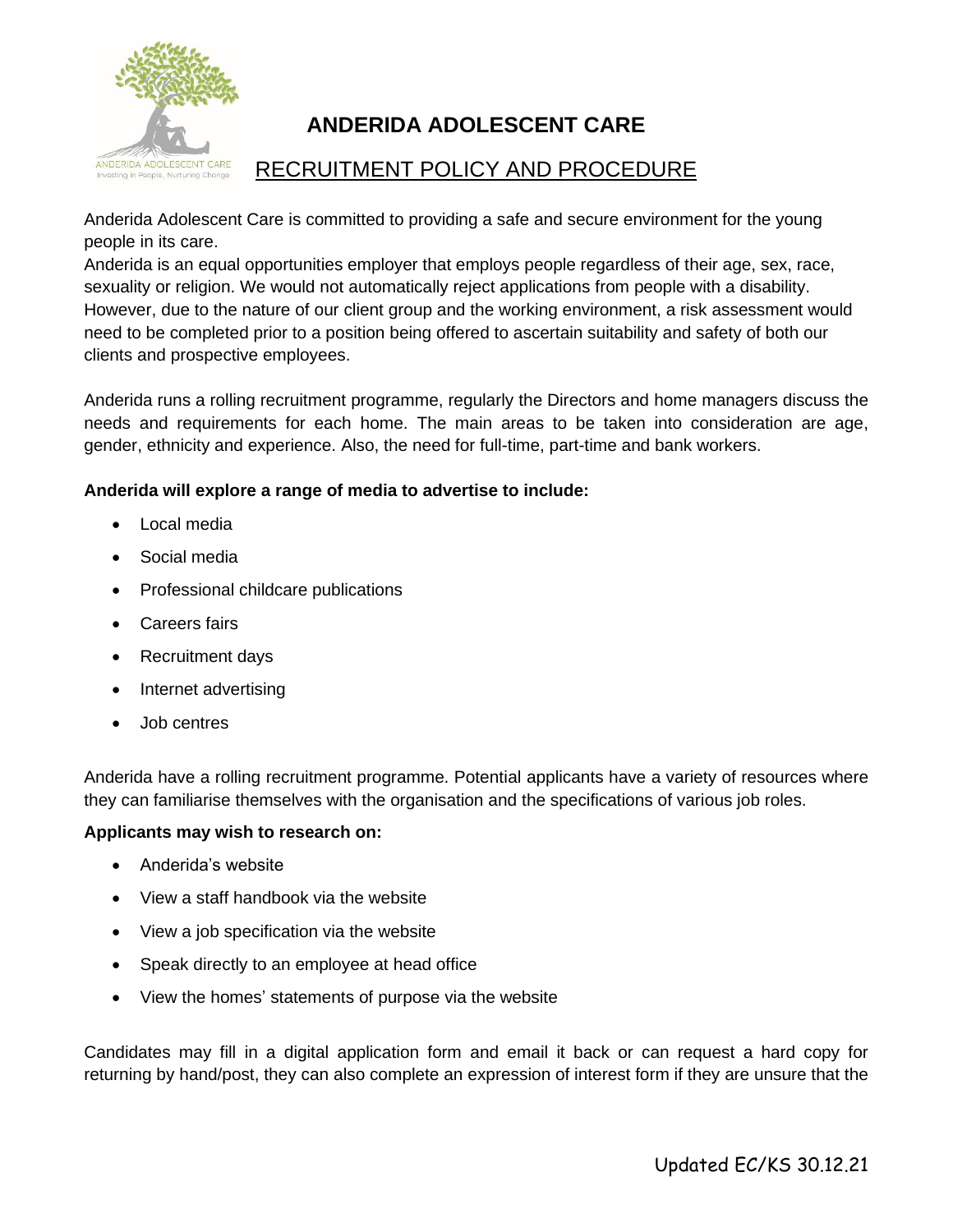

# **ANDERIDA ADOLESCENT CARE**

# RECRUITMENT POLICY AND PROCEDURE

Anderida Adolescent Care is committed to providing a safe and secure environment for the young people in its care.

Anderida is an equal opportunities employer that employs people regardless of their age, sex, race, sexuality or religion. We would not automatically reject applications from people with a disability. However, due to the nature of our client group and the working environment, a risk assessment would need to be completed prior to a position being offered to ascertain suitability and safety of both our clients and prospective employees.

Anderida runs a rolling recruitment programme, regularly the Directors and home managers discuss the needs and requirements for each home. The main areas to be taken into consideration are age, gender, ethnicity and experience. Also, the need for full-time, part-time and bank workers.

## **Anderida will explore a range of media to advertise to include:**

- Local media
- Social media
- Professional childcare publications
- Careers fairs
- Recruitment days
- Internet advertising
- Job centres

Anderida have a rolling recruitment programme. Potential applicants have a variety of resources where they can familiarise themselves with the organisation and the specifications of various job roles.

## **Applicants may wish to research on:**

- Anderida's website
- View a staff handbook via the website
- View a job specification via the website
- Speak directly to an employee at head office
- View the homes' statements of purpose via the website

Candidates may fill in a digital application form and email it back or can request a hard copy for returning by hand/post, they can also complete an expression of interest form if they are unsure that the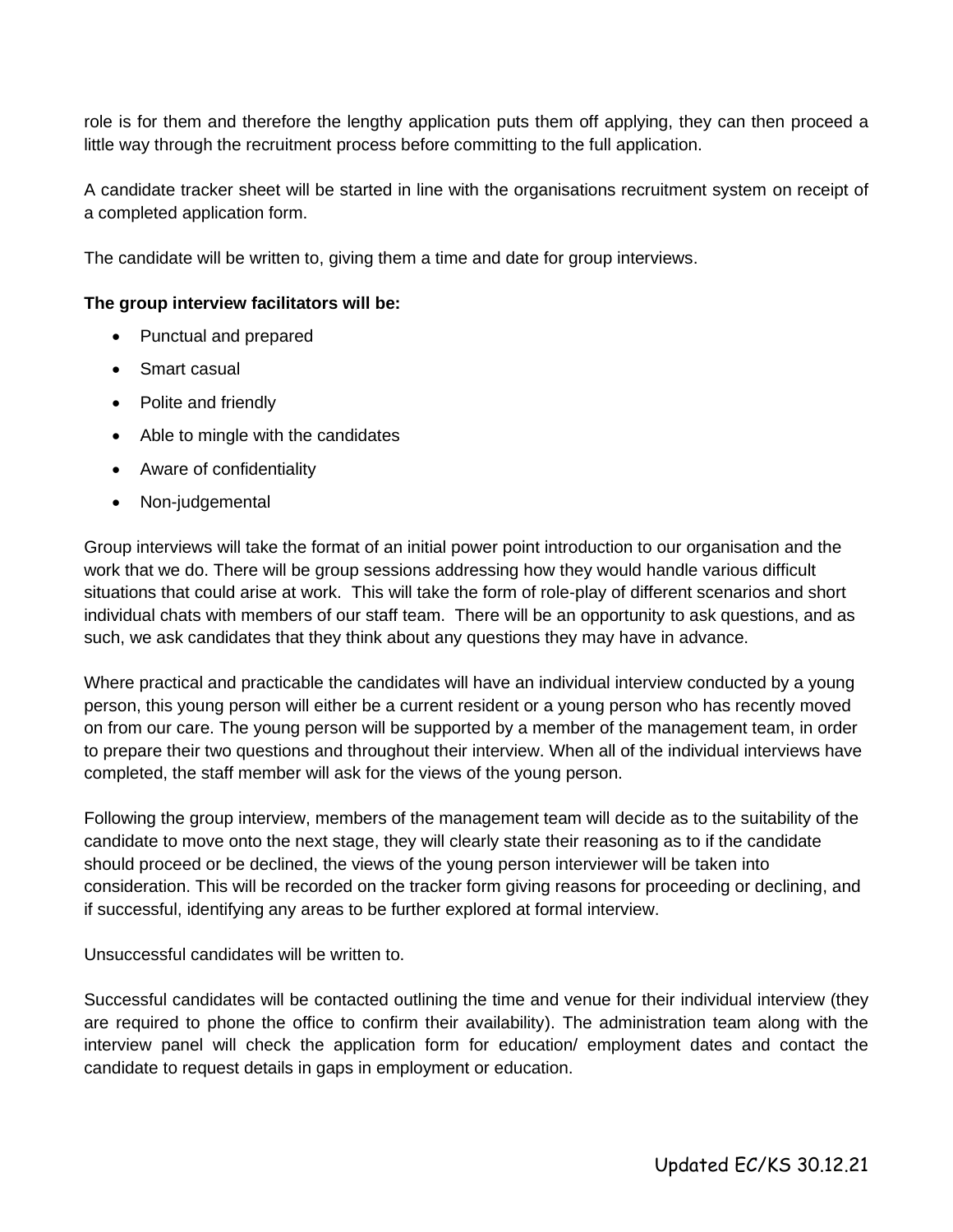role is for them and therefore the lengthy application puts them off applying, they can then proceed a little way through the recruitment process before committing to the full application.

A candidate tracker sheet will be started in line with the organisations recruitment system on receipt of a completed application form.

The candidate will be written to, giving them a time and date for group interviews.

#### **The group interview facilitators will be:**

- Punctual and prepared
- Smart casual
- Polite and friendly
- Able to mingle with the candidates
- Aware of confidentiality
- Non-judgemental

Group interviews will take the format of an initial power point introduction to our organisation and the work that we do. There will be group sessions addressing how they would handle various difficult situations that could arise at work. This will take the form of role-play of different scenarios and short individual chats with members of our staff team. There will be an opportunity to ask questions, and as such, we ask candidates that they think about any questions they may have in advance.

Where practical and practicable the candidates will have an individual interview conducted by a young person, this young person will either be a current resident or a young person who has recently moved on from our care. The young person will be supported by a member of the management team, in order to prepare their two questions and throughout their interview. When all of the individual interviews have completed, the staff member will ask for the views of the young person.

Following the group interview, members of the management team will decide as to the suitability of the candidate to move onto the next stage, they will clearly state their reasoning as to if the candidate should proceed or be declined, the views of the young person interviewer will be taken into consideration. This will be recorded on the tracker form giving reasons for proceeding or declining, and if successful, identifying any areas to be further explored at formal interview.

Unsuccessful candidates will be written to.

Successful candidates will be contacted outlining the time and venue for their individual interview (they are required to phone the office to confirm their availability). The administration team along with the interview panel will check the application form for education/ employment dates and contact the candidate to request details in gaps in employment or education.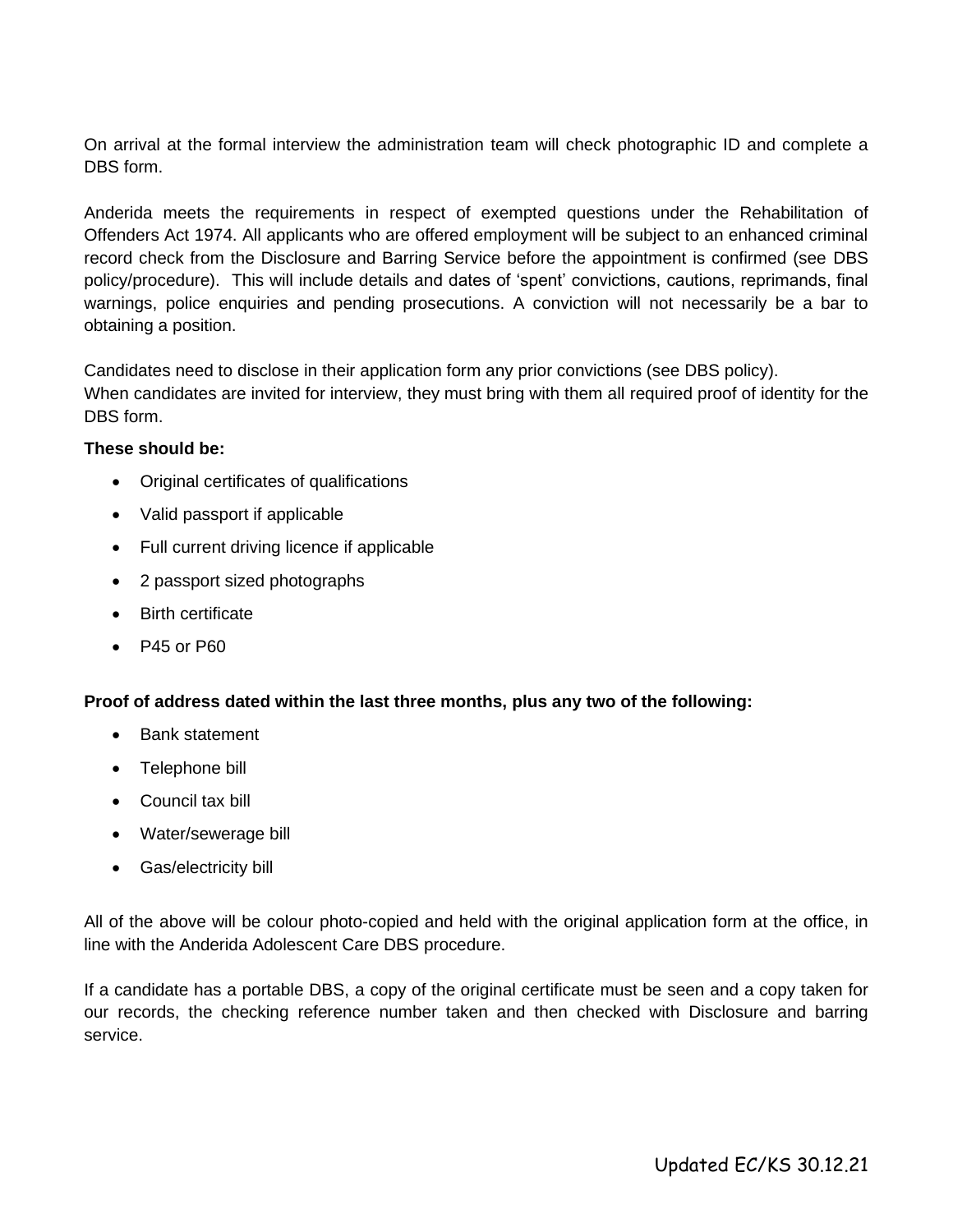On arrival at the formal interview the administration team will check photographic ID and complete a DBS form.

Anderida meets the requirements in respect of exempted questions under the Rehabilitation of Offenders Act 1974. All applicants who are offered employment will be subject to an enhanced criminal record check from the Disclosure and Barring Service before the appointment is confirmed (see DBS policy/procedure). This will include details and dates of 'spent' convictions, cautions, reprimands, final warnings, police enquiries and pending prosecutions. A conviction will not necessarily be a bar to obtaining a position.

Candidates need to disclose in their application form any prior convictions (see DBS policy).

When candidates are invited for interview, they must bring with them all required proof of identity for the DBS form.

#### **These should be:**

- Original certificates of qualifications
- Valid passport if applicable
- Full current driving licence if applicable
- 2 passport sized photographs
- Birth certificate
- P45 or P60

#### **Proof of address dated within the last three months, plus any two of the following:**

- Bank statement
- Telephone bill
- Council tax bill
- Water/sewerage bill
- Gas/electricity bill

All of the above will be colour photo-copied and held with the original application form at the office, in line with the Anderida Adolescent Care DBS procedure.

If a candidate has a portable DBS, a copy of the original certificate must be seen and a copy taken for our records, the checking reference number taken and then checked with Disclosure and barring service.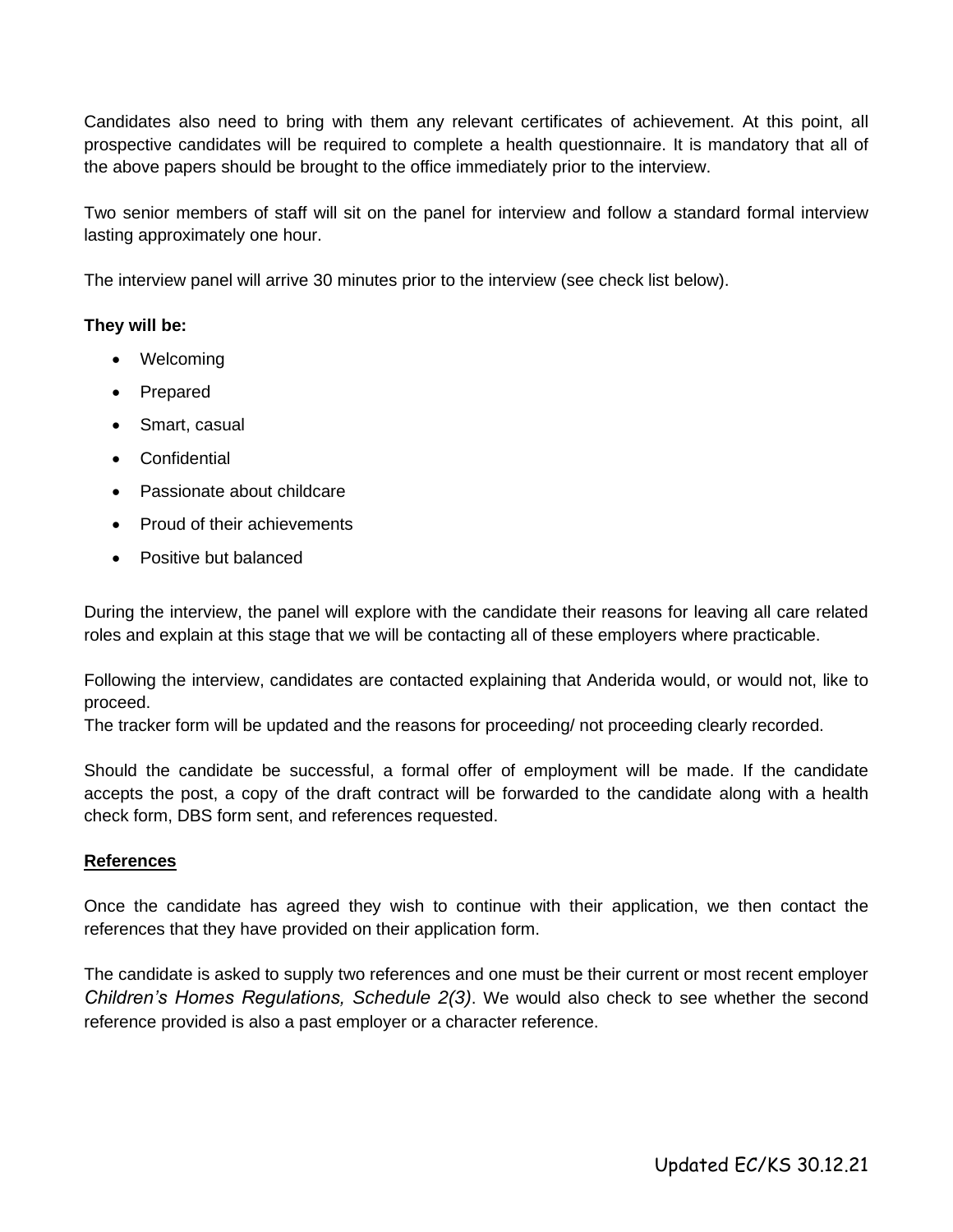Candidates also need to bring with them any relevant certificates of achievement. At this point, all prospective candidates will be required to complete a health questionnaire. It is mandatory that all of the above papers should be brought to the office immediately prior to the interview.

Two senior members of staff will sit on the panel for interview and follow a standard formal interview lasting approximately one hour.

The interview panel will arrive 30 minutes prior to the interview (see check list below).

#### **They will be:**

- Welcoming
- Prepared
- Smart, casual
- Confidential
- Passionate about childcare
- Proud of their achievements
- Positive but balanced

During the interview, the panel will explore with the candidate their reasons for leaving all care related roles and explain at this stage that we will be contacting all of these employers where practicable.

Following the interview, candidates are contacted explaining that Anderida would, or would not, like to proceed.

The tracker form will be updated and the reasons for proceeding/ not proceeding clearly recorded.

Should the candidate be successful, a formal offer of employment will be made. If the candidate accepts the post, a copy of the draft contract will be forwarded to the candidate along with a health check form, DBS form sent, and references requested.

#### **References**

Once the candidate has agreed they wish to continue with their application, we then contact the references that they have provided on their application form.

The candidate is asked to supply two references and one must be their current or most recent employer *Children's Homes Regulations, Schedule 2(3)*. We would also check to see whether the second reference provided is also a past employer or a character reference.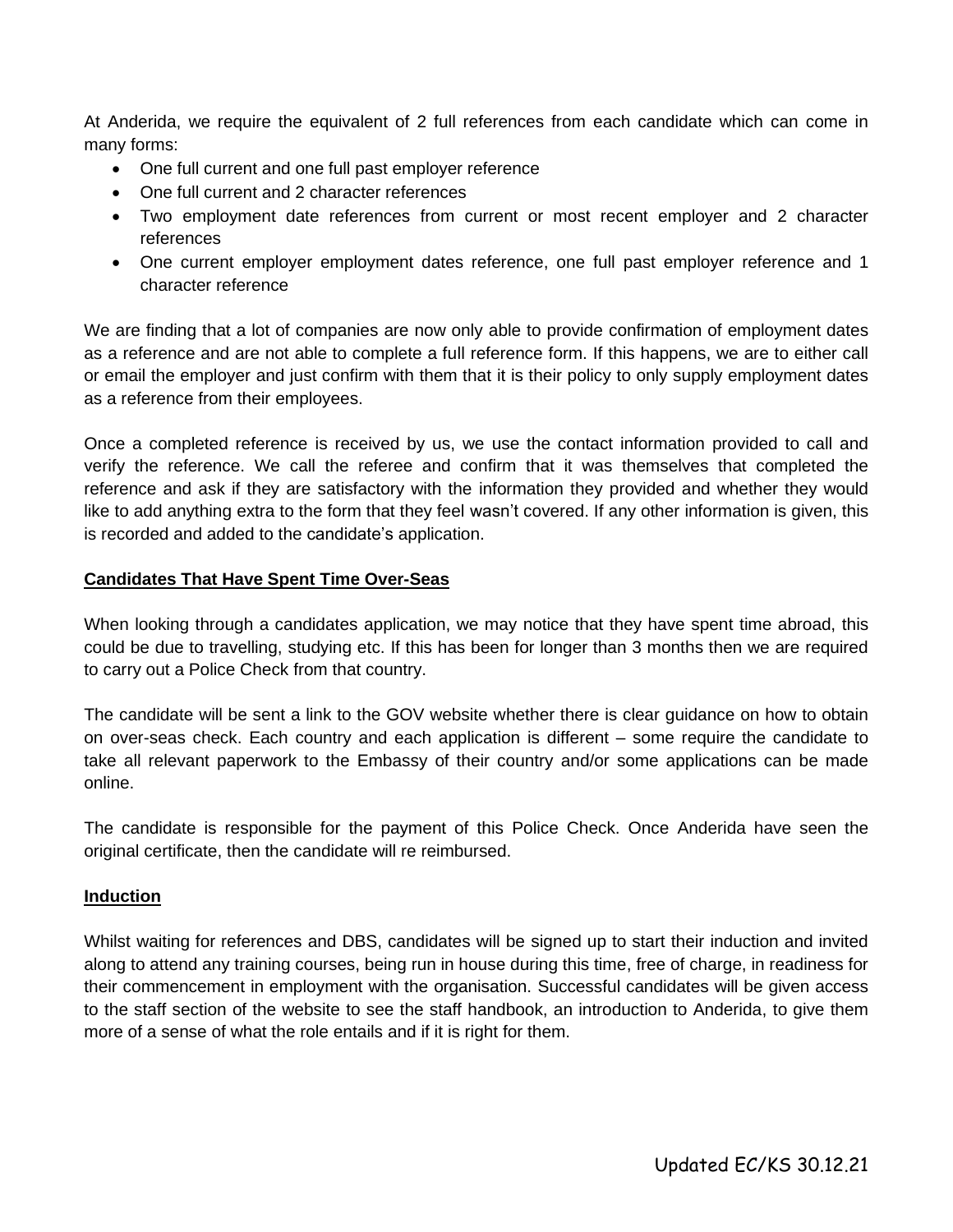At Anderida, we require the equivalent of 2 full references from each candidate which can come in many forms:

- One full current and one full past employer reference
- One full current and 2 character references
- Two employment date references from current or most recent employer and 2 character references
- One current employer employment dates reference, one full past employer reference and 1 character reference

We are finding that a lot of companies are now only able to provide confirmation of employment dates as a reference and are not able to complete a full reference form. If this happens, we are to either call or email the employer and just confirm with them that it is their policy to only supply employment dates as a reference from their employees.

Once a completed reference is received by us, we use the contact information provided to call and verify the reference. We call the referee and confirm that it was themselves that completed the reference and ask if they are satisfactory with the information they provided and whether they would like to add anything extra to the form that they feel wasn't covered. If any other information is given, this is recorded and added to the candidate's application.

#### **Candidates That Have Spent Time Over-Seas**

When looking through a candidates application, we may notice that they have spent time abroad, this could be due to travelling, studying etc. If this has been for longer than 3 months then we are required to carry out a Police Check from that country.

The candidate will be sent a link to the GOV website whether there is clear guidance on how to obtain on over-seas check. Each country and each application is different – some require the candidate to take all relevant paperwork to the Embassy of their country and/or some applications can be made online.

The candidate is responsible for the payment of this Police Check. Once Anderida have seen the original certificate, then the candidate will re reimbursed.

#### **Induction**

Whilst waiting for references and DBS, candidates will be signed up to start their induction and invited along to attend any training courses, being run in house during this time, free of charge, in readiness for their commencement in employment with the organisation. Successful candidates will be given access to the staff section of the website to see the staff handbook, an introduction to Anderida, to give them more of a sense of what the role entails and if it is right for them.